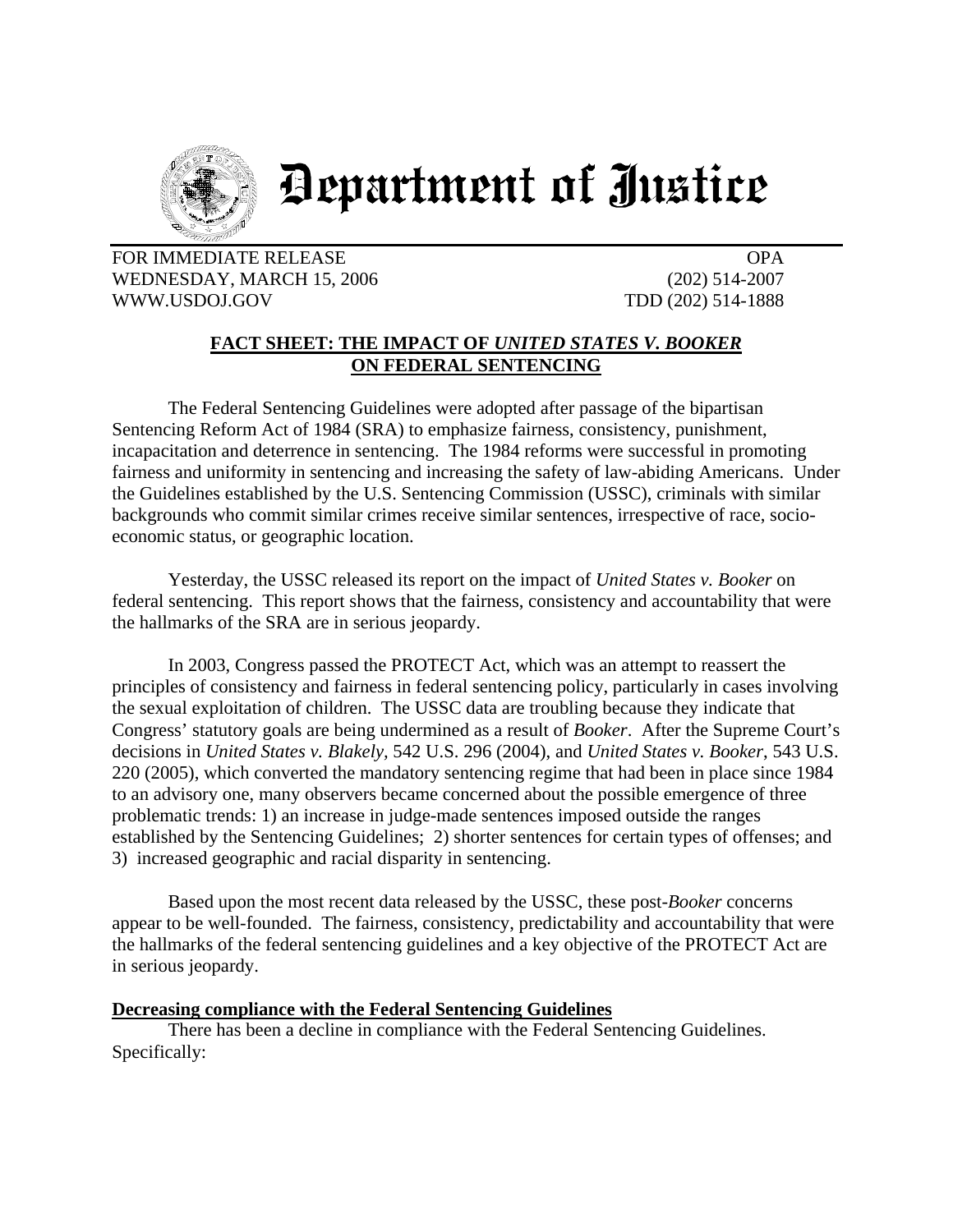

# Department of Justice

FOR IMMEDIATE RELEASE OPA WEDNESDAY, MARCH 15, 2006 (202) 514-2007 WWW.USDOJ.GOV TDD (202) 514-1888

## **FACT SHEET: THE IMPACT OF** *UNITED STATES V. BOOKER*  **ON FEDERAL SENTENCING**

The Federal Sentencing Guidelines were adopted after passage of the bipartisan Sentencing Reform Act of 1984 (SRA) to emphasize fairness, consistency, punishment, incapacitation and deterrence in sentencing. The 1984 reforms were successful in promoting fairness and uniformity in sentencing and increasing the safety of law-abiding Americans. Under the Guidelines established by the U.S. Sentencing Commission (USSC), criminals with similar backgrounds who commit similar crimes receive similar sentences, irrespective of race, socioeconomic status, or geographic location.

Yesterday, the USSC released its report on the impact of *United States v. Booker* on federal sentencing. This report shows that the fairness, consistency and accountability that were the hallmarks of the SRA are in serious jeopardy.

In 2003, Congress passed the PROTECT Act, which was an attempt to reassert the principles of consistency and fairness in federal sentencing policy, particularly in cases involving the sexual exploitation of children. The USSC data are troubling because they indicate that Congress' statutory goals are being undermined as a result of *Booker*. After the Supreme Court's decisions in *United States v. Blakely,* 542 U.S. 296 (2004), and *United States v. Booker*, 543 U.S. 220 (2005), which converted the mandatory sentencing regime that had been in place since 1984 to an advisory one, many observers became concerned about the possible emergence of three problematic trends: 1) an increase in judge-made sentences imposed outside the ranges established by the Sentencing Guidelines; 2) shorter sentences for certain types of offenses; and 3) increased geographic and racial disparity in sentencing.

Based upon the most recent data released by the USSC, these post-*Booker* concerns appear to be well-founded. The fairness, consistency, predictability and accountability that were the hallmarks of the federal sentencing guidelines and a key objective of the PROTECT Act are in serious jeopardy.

#### **Decreasing compliance with the Federal Sentencing Guidelines**

There has been a decline in compliance with the Federal Sentencing Guidelines. Specifically: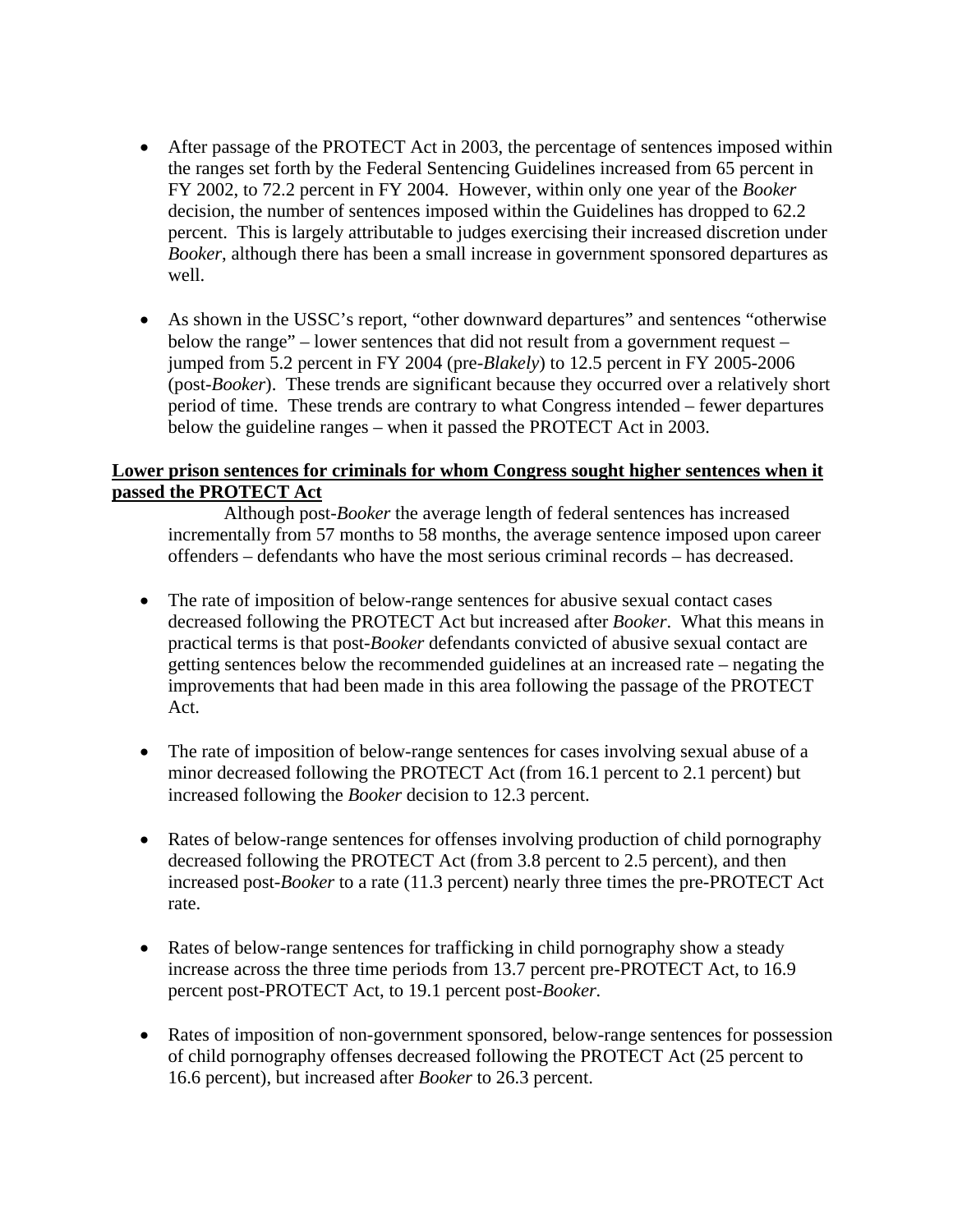- After passage of the PROTECT Act in 2003, the percentage of sentences imposed within the ranges set forth by the Federal Sentencing Guidelines increased from 65 percent in FY 2002, to 72.2 percent in FY 2004. However, within only one year of the *Booker*  decision, the number of sentences imposed within the Guidelines has dropped to 62.2 percent. This is largely attributable to judges exercising their increased discretion under *Booker*, although there has been a small increase in government sponsored departures as well.
- As shown in the USSC's report, "other downward departures" and sentences "otherwise below the range" – lower sentences that did not result from a government request – jumped from 5.2 percent in FY 2004 (pre-*Blakely*) to 12.5 percent in FY 2005-2006 (post-*Booker*). These trends are significant because they occurred over a relatively short period of time. These trends are contrary to what Congress intended – fewer departures below the guideline ranges – when it passed the PROTECT Act in 2003.

### **Lower prison sentences for criminals for whom Congress sought higher sentences when it passed the PROTECT Act**

Although post-*Booker* the average length of federal sentences has increased incrementally from 57 months to 58 months, the average sentence imposed upon career offenders – defendants who have the most serious criminal records – has decreased.

- The rate of imposition of below-range sentences for abusive sexual contact cases decreased following the PROTECT Act but increased after *Booker*. What this means in practical terms is that post-*Booker* defendants convicted of abusive sexual contact are getting sentences below the recommended guidelines at an increased rate – negating the improvements that had been made in this area following the passage of the PROTECT Act.
- The rate of imposition of below-range sentences for cases involving sexual abuse of a minor decreased following the PROTECT Act (from 16.1 percent to 2.1 percent) but increased following the *Booker* decision to 12.3 percent.
- Rates of below-range sentences for offenses involving production of child pornography decreased following the PROTECT Act (from 3.8 percent to 2.5 percent), and then increased post-*Booker* to a rate (11.3 percent) nearly three times the pre-PROTECT Act rate.
- Rates of below-range sentences for trafficking in child pornography show a steady increase across the three time periods from 13.7 percent pre-PROTECT Act, to 16.9 percent post-PROTECT Act, to 19.1 percent post-*Booker.*
- Rates of imposition of non-government sponsored, below-range sentences for possession of child pornography offenses decreased following the PROTECT Act (25 percent to 16.6 percent), but increased after *Booker* to 26.3 percent.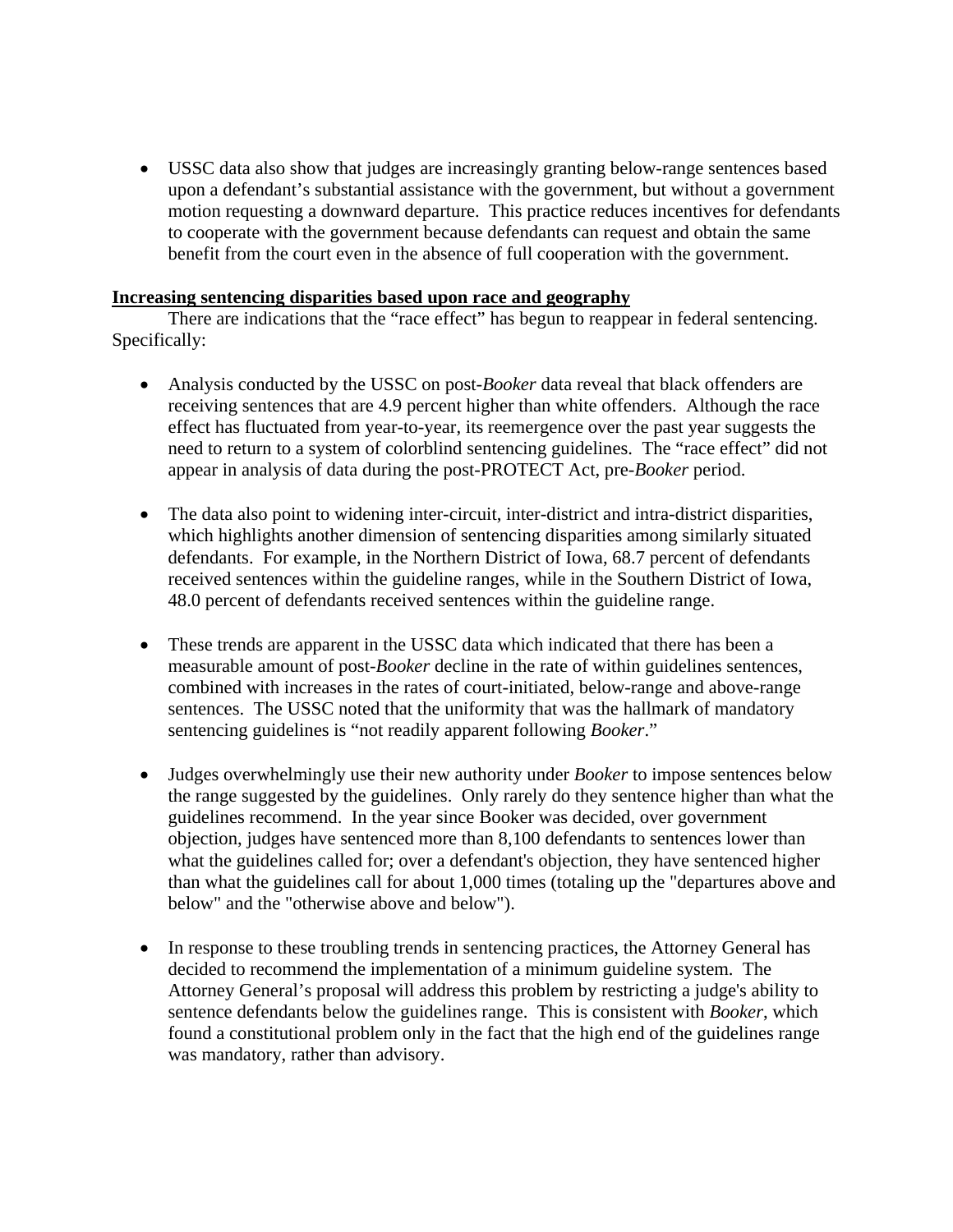• USSC data also show that judges are increasingly granting below-range sentences based upon a defendant's substantial assistance with the government, but without a government motion requesting a downward departure. This practice reduces incentives for defendants to cooperate with the government because defendants can request and obtain the same benefit from the court even in the absence of full cooperation with the government.

#### **Increasing sentencing disparities based upon race and geography**

There are indications that the "race effect" has begun to reappear in federal sentencing. Specifically:

- Analysis conducted by the USSC on post-*Booker* data reveal that black offenders are receiving sentences that are 4.9 percent higher than white offenders. Although the race effect has fluctuated from year-to-year, its reemergence over the past year suggests the need to return to a system of colorblind sentencing guidelines. The "race effect" did not appear in analysis of data during the post-PROTECT Act, pre-*Booker* period.
- The data also point to widening inter-circuit, inter-district and intra-district disparities, which highlights another dimension of sentencing disparities among similarly situated defendants. For example, in the Northern District of Iowa, 68.7 percent of defendants received sentences within the guideline ranges, while in the Southern District of Iowa, 48.0 percent of defendants received sentences within the guideline range.
- These trends are apparent in the USSC data which indicated that there has been a measurable amount of post-*Booker* decline in the rate of within guidelines sentences, combined with increases in the rates of court-initiated, below-range and above-range sentences. The USSC noted that the uniformity that was the hallmark of mandatory sentencing guidelines is "not readily apparent following *Booker*."
- Judges overwhelmingly use their new authority under *Booker* to impose sentences below the range suggested by the guidelines. Only rarely do they sentence higher than what the guidelines recommend. In the year since Booker was decided, over government objection, judges have sentenced more than 8,100 defendants to sentences lower than what the guidelines called for; over a defendant's objection, they have sentenced higher than what the guidelines call for about 1,000 times (totaling up the "departures above and below" and the "otherwise above and below").
- In response to these troubling trends in sentencing practices, the Attorney General has decided to recommend the implementation of a minimum guideline system. The Attorney General's proposal will address this problem by restricting a judge's ability to sentence defendants below the guidelines range. This is consistent with *Booker*, which found a constitutional problem only in the fact that the high end of the guidelines range was mandatory, rather than advisory.